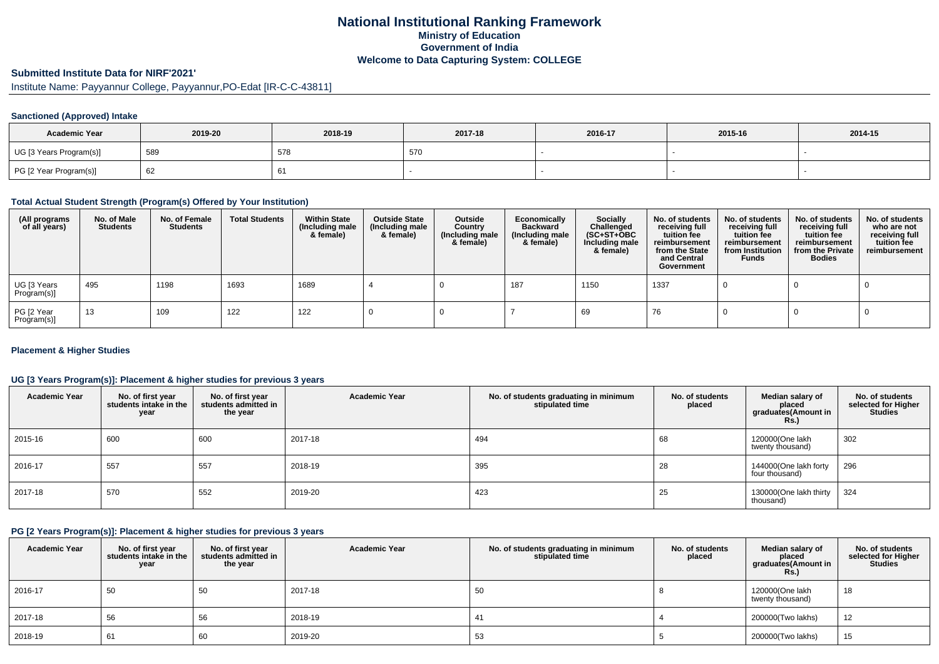# **National Institutional Ranking FrameworkMinistry of Education Government of IndiaWelcome to Data Capturing System: COLLEGE**

# **Submitted Institute Data for NIRF'2021'**

Institute Name: Payyannur College, Payyannur,PO-Edat [IR-C-C-43811]

### **Sanctioned (Approved) Intake**

| <b>Academic Year</b>    | 2019-20 | 2018-19 | 2017-18 | 2016-17 | 2015-16 | 2014-15 |
|-------------------------|---------|---------|---------|---------|---------|---------|
| UG [3 Years Program(s)] | 589     | 578     | 570     |         |         |         |
| PG [2 Year Program(s)]  | 62      |         |         |         |         |         |

# **Total Actual Student Strength (Program(s) Offered by Your Institution)**

| (All programs<br>of all years) | No. of Male<br><b>Students</b> | No. of Female<br><b>Students</b> | <b>Total Students</b> | <b>Within State</b><br>(Including male<br>& female) | <b>Outside State</b><br>(Including male<br>& female) | Outside<br>Country<br>(Including male<br>& female) | Economically<br><b>Backward</b><br>(Including male<br>& female) | <b>Socially</b><br>Challenged<br>$(SC+ST+OBC)$<br>Including male<br>& female) | No. of students<br>receiving full<br>tuition fee<br>reimbursement<br>from the State<br>and Central<br>Government | No. of students<br>receiving full<br>tuition fee<br>reimbursement<br>from Institution<br><b>Funds</b> | No. of students<br>receiving full<br>tuition fee<br>reimbursement<br>from the Private<br><b>Bodies</b> | No. of students<br>who are not<br>receiving full<br>tuition fee<br>reimbursement |
|--------------------------------|--------------------------------|----------------------------------|-----------------------|-----------------------------------------------------|------------------------------------------------------|----------------------------------------------------|-----------------------------------------------------------------|-------------------------------------------------------------------------------|------------------------------------------------------------------------------------------------------------------|-------------------------------------------------------------------------------------------------------|--------------------------------------------------------------------------------------------------------|----------------------------------------------------------------------------------|
| UG [3 Years<br>Program(s)]     | 495                            | 1198                             | 1693                  | 1689                                                |                                                      |                                                    | 187                                                             | 1150                                                                          | 1337                                                                                                             |                                                                                                       |                                                                                                        |                                                                                  |
| PG [2 Year<br>Program(s)]      | 13                             | 109                              | 122                   | 122                                                 |                                                      |                                                    |                                                                 | 69                                                                            | 76                                                                                                               |                                                                                                       |                                                                                                        |                                                                                  |

### **Placement & Higher Studies**

# **UG [3 Years Program(s)]: Placement & higher studies for previous 3 years**

| <b>Academic Year</b> | No. of first year<br>students intake in the<br>year | No. of first year<br>students admitted in<br>the year | <b>Academic Year</b> | No. of students graduating in minimum<br>stipulated time | No. of students<br>placed | Median salary of<br>placed<br>graduates(Amount in<br><b>Rs.)</b> | No. of students<br>selected for Higher<br><b>Studies</b> |
|----------------------|-----------------------------------------------------|-------------------------------------------------------|----------------------|----------------------------------------------------------|---------------------------|------------------------------------------------------------------|----------------------------------------------------------|
| 2015-16              | 600                                                 | 600                                                   | 2017-18              | 494                                                      | 68                        | 120000(One lakh<br>twenty thousand)                              | 302                                                      |
| 2016-17              | 557                                                 | 557                                                   | 2018-19              | 395                                                      | 28                        | 144000(One lakh forty<br>four thousand)                          | 296                                                      |
| 2017-18              | 570                                                 | 552                                                   | 2019-20              | 423                                                      | 25                        | 130000(One lakh thirty<br>thousand)                              | 324                                                      |

# **PG [2 Years Program(s)]: Placement & higher studies for previous 3 years**

| <b>Academic Year</b> | No. of first year<br>students intake in the<br>year | No. of first year<br>students admitted in<br>the year | <b>Academic Year</b> | No. of students graduating in minimum<br>stipulated time | No. of students<br>placed | Median salary of<br>placed<br>graduates(Amount in<br><b>Rs.)</b> | No. of students<br>selected for Higher<br><b>Studies</b> |
|----------------------|-----------------------------------------------------|-------------------------------------------------------|----------------------|----------------------------------------------------------|---------------------------|------------------------------------------------------------------|----------------------------------------------------------|
| 2016-17              | 50                                                  | 50                                                    | 2017-18              | 50                                                       |                           | 120000(One lakh<br>twenty thousand)                              | 18                                                       |
| 2017-18              | 56                                                  | 56                                                    | 2018-19              | 41                                                       |                           | 200000(Two lakhs)                                                | 12                                                       |
| 2018-19              | 61                                                  | 60                                                    | 2019-20              | 53                                                       |                           | 200000(Two lakhs)                                                | 15                                                       |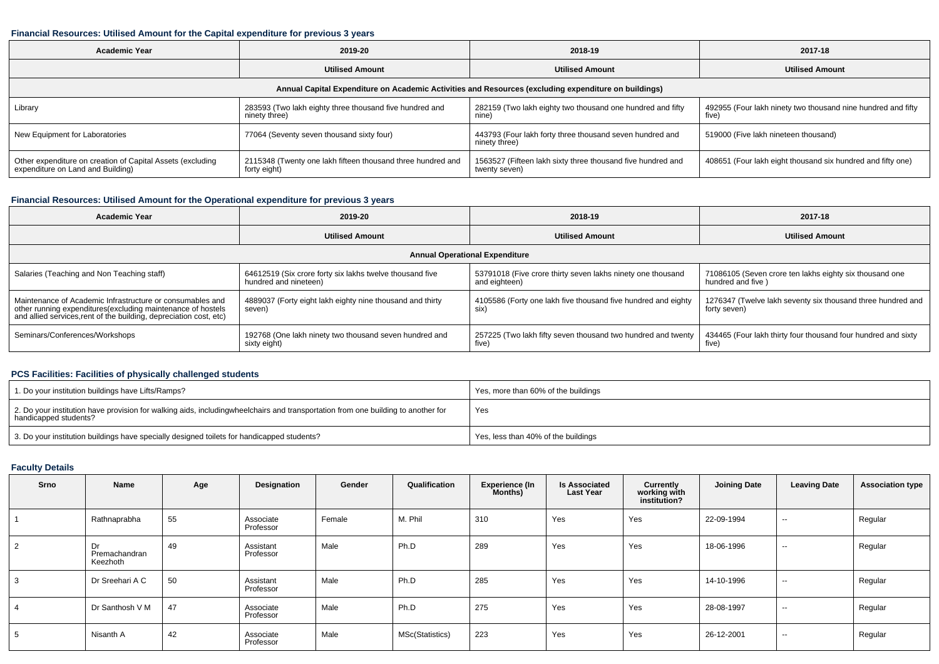### **Financial Resources: Utilised Amount for the Capital expenditure for previous 3 years**

| Academic Year                                                                                   | 2019-20                                                                     | 2018-19                                                                                              | 2017-18                                                               |
|-------------------------------------------------------------------------------------------------|-----------------------------------------------------------------------------|------------------------------------------------------------------------------------------------------|-----------------------------------------------------------------------|
|                                                                                                 | <b>Utilised Amount</b>                                                      | <b>Utilised Amount</b>                                                                               | <b>Utilised Amount</b>                                                |
|                                                                                                 |                                                                             | Annual Capital Expenditure on Academic Activities and Resources (excluding expenditure on buildings) |                                                                       |
| Library                                                                                         | 283593 (Two lakh eighty three thousand five hundred and<br>ninety three)    | 282159 (Two lakh eighty two thousand one hundred and fifty<br>nine)                                  | 492955 (Four lakh ninety two thousand nine hundred and fifty<br>five) |
| New Equipment for Laboratories                                                                  | 77064 (Seventy seven thousand sixty four)                                   | 443793 (Four lakh forty three thousand seven hundred and<br>ninety three)                            | 519000 (Five lakh nineteen thousand)                                  |
| Other expenditure on creation of Capital Assets (excluding<br>expenditure on Land and Building) | 2115348 (Twenty one lakh fifteen thousand three hundred and<br>forty eight) | 1563527 (Fifteen lakh sixty three thousand five hundred and<br>twenty seven)                         | 408651 (Four lakh eight thousand six hundred and fifty one)           |

# **Financial Resources: Utilised Amount for the Operational expenditure for previous 3 years**

| Academic Year                                                                                                                     | 2019-20                                                   | 2018-19                                                       | 2017-18                                                       |  |
|-----------------------------------------------------------------------------------------------------------------------------------|-----------------------------------------------------------|---------------------------------------------------------------|---------------------------------------------------------------|--|
|                                                                                                                                   | <b>Utilised Amount</b>                                    | <b>Utilised Amount</b>                                        | <b>Utilised Amount</b>                                        |  |
|                                                                                                                                   |                                                           | <b>Annual Operational Expenditure</b>                         |                                                               |  |
| Salaries (Teaching and Non Teaching staff)                                                                                        | 64612519 (Six crore forty six lakhs twelve thousand five  | 53791018 (Five crore thirty seven lakhs ninety one thousand   | 71086105 (Seven crore ten lakhs eighty six thousand one       |  |
|                                                                                                                                   | hundred and nineteen)                                     | and eighteen)                                                 | hundred and five )                                            |  |
| Maintenance of Academic Infrastructure or consumables and                                                                         | 4889037 (Forty eight lakh eighty nine thousand and thirty | 4105586 (Forty one lakh five thousand five hundred and eighty | 1276347 (Twelve lakh seventy six thousand three hundred and   |  |
| other running expenditures(excluding maintenance of hostels<br>and allied services, rent of the building, depreciation cost, etc) | seven)                                                    | six)                                                          | forty seven)                                                  |  |
| Seminars/Conferences/Workshops                                                                                                    | 192768 (One lakh ninety two thousand seven hundred and    | 257225 (Two lakh fifty seven thousand two hundred and twenty  | 434465 (Four lakh thirty four thousand four hundred and sixty |  |
|                                                                                                                                   | sixty eight)                                              | five)                                                         | five)                                                         |  |

# **PCS Facilities: Facilities of physically challenged students**

| 1. Do your institution buildings have Lifts/Ramps?                                                                                                        | Yes, more than 60% of the buildings |
|-----------------------------------------------------------------------------------------------------------------------------------------------------------|-------------------------------------|
| 2. Do your institution have provision for walking aids, includingwheelchairs and transportation from one building to another for<br>handicapped students? | Yes                                 |
| 3. Do your institution buildings have specially designed toilets for handicapped students?                                                                | Yes, less than 40% of the buildings |

### **Faculty Details**

| Srno | Name                            | Age | Designation            | Gender | Qualification   | <b>Experience (In</b><br>Months) | <b>Is Associated</b><br><b>Last Year</b> | Currently<br>working with<br>institution? | <b>Joining Date</b> | <b>Leaving Date</b> | <b>Association type</b> |
|------|---------------------------------|-----|------------------------|--------|-----------------|----------------------------------|------------------------------------------|-------------------------------------------|---------------------|---------------------|-------------------------|
|      | Rathnaprabha                    | 55  | Associate<br>Professor | Female | M. Phil         | 310                              | Yes                                      | Yes                                       | 22-09-1994          | $\sim$              | Regular                 |
| 2    | Dr<br>Premachandran<br>Keezhoth | 49  | Assistant<br>Professor | Male   | Ph.D            | 289                              | Yes                                      | Yes                                       | 18-06-1996          | $\sim$              | Regular                 |
| 3    | Dr Sreehari A C                 | 50  | Assistant<br>Professor | Male   | Ph.D            | 285                              | Yes                                      | Yes                                       | 14-10-1996          | $\sim$              | Regular                 |
|      | Dr Santhosh V M                 | 47  | Associate<br>Professor | Male   | Ph.D            | 275                              | Yes                                      | Yes                                       | 28-08-1997          | $\sim$              | Regular                 |
| 5    | Nisanth A                       | 42  | Associate<br>Professor | Male   | MSc(Statistics) | 223                              | Yes                                      | Yes                                       | 26-12-2001          | $\sim$              | Regular                 |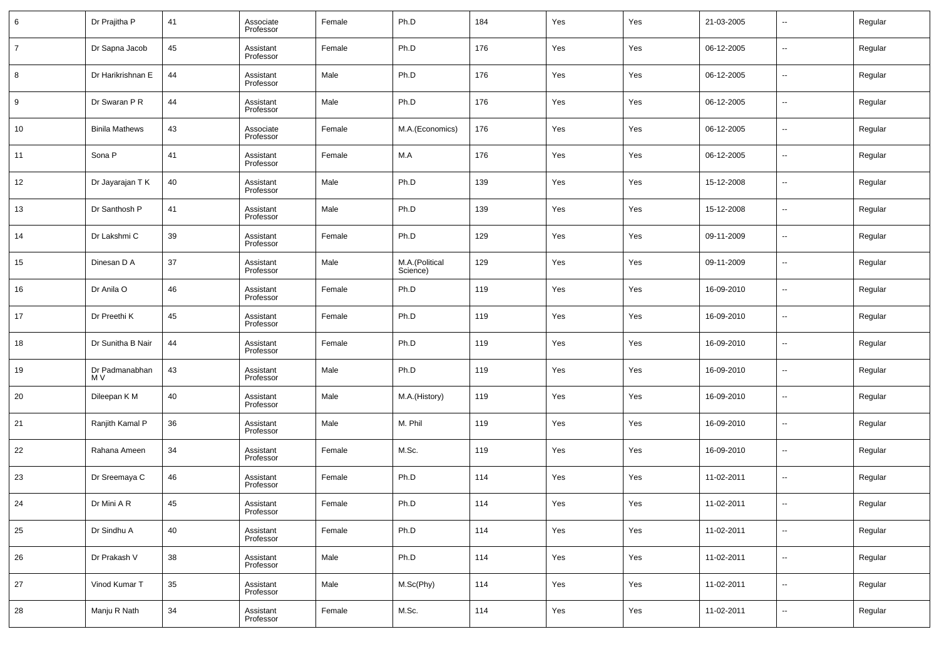| 6              | Dr Prajitha P         | 41 | Associate<br>Professor | Female | Ph.D                       | 184 | Yes | Yes | 21-03-2005 | $\overline{\phantom{a}}$ | Regular |
|----------------|-----------------------|----|------------------------|--------|----------------------------|-----|-----|-----|------------|--------------------------|---------|
| $\overline{7}$ | Dr Sapna Jacob        | 45 | Assistant<br>Professor | Female | Ph.D                       | 176 | Yes | Yes | 06-12-2005 | $\overline{\phantom{a}}$ | Regular |
| 8              | Dr Harikrishnan E     | 44 | Assistant<br>Professor | Male   | Ph.D                       | 176 | Yes | Yes | 06-12-2005 | $\overline{\phantom{a}}$ | Regular |
| 9              | Dr Swaran P R         | 44 | Assistant<br>Professor | Male   | Ph.D                       | 176 | Yes | Yes | 06-12-2005 | $\overline{\phantom{a}}$ | Regular |
| 10             | <b>Binila Mathews</b> | 43 | Associate<br>Professor | Female | M.A.(Economics)            | 176 | Yes | Yes | 06-12-2005 | $\overline{\phantom{a}}$ | Regular |
| 11             | Sona P                | 41 | Assistant<br>Professor | Female | M.A                        | 176 | Yes | Yes | 06-12-2005 | $\overline{\phantom{a}}$ | Regular |
| 12             | Dr Jayarajan T K      | 40 | Assistant<br>Professor | Male   | Ph.D                       | 139 | Yes | Yes | 15-12-2008 | $\overline{\phantom{a}}$ | Regular |
| 13             | Dr Santhosh P         | 41 | Assistant<br>Professor | Male   | Ph.D                       | 139 | Yes | Yes | 15-12-2008 | $\overline{\phantom{a}}$ | Regular |
| 14             | Dr Lakshmi C          | 39 | Assistant<br>Professor | Female | Ph.D                       | 129 | Yes | Yes | 09-11-2009 | $\overline{\phantom{a}}$ | Regular |
| 15             | Dinesan D A           | 37 | Assistant<br>Professor | Male   | M.A.(Political<br>Science) | 129 | Yes | Yes | 09-11-2009 | $\overline{\phantom{a}}$ | Regular |
| 16             | Dr Anila O            | 46 | Assistant<br>Professor | Female | Ph.D                       | 119 | Yes | Yes | 16-09-2010 | $\overline{\phantom{a}}$ | Regular |
| 17             | Dr Preethi K          | 45 | Assistant<br>Professor | Female | Ph.D                       | 119 | Yes | Yes | 16-09-2010 | $\overline{\phantom{a}}$ | Regular |
| 18             | Dr Sunitha B Nair     | 44 | Assistant<br>Professor | Female | Ph.D                       | 119 | Yes | Yes | 16-09-2010 | $\overline{\phantom{a}}$ | Regular |
| 19             | Dr Padmanabhan<br>M V | 43 | Assistant<br>Professor | Male   | Ph.D                       | 119 | Yes | Yes | 16-09-2010 | $\overline{\phantom{a}}$ | Regular |
| 20             | Dileepan K M          | 40 | Assistant<br>Professor | Male   | M.A.(History)              | 119 | Yes | Yes | 16-09-2010 | $\overline{\phantom{a}}$ | Regular |
| 21             | Ranjith Kamal P       | 36 | Assistant<br>Professor | Male   | M. Phil                    | 119 | Yes | Yes | 16-09-2010 | $\overline{\phantom{a}}$ | Regular |
| 22             | Rahana Ameen          | 34 | Assistant<br>Professor | Female | M.Sc.                      | 119 | Yes | Yes | 16-09-2010 | $\overline{\phantom{a}}$ | Regular |
| 23             | Dr Sreemaya C         | 46 | Assistant<br>Professor | Female | Ph.D                       | 114 | Yes | Yes | 11-02-2011 | $\overline{\phantom{a}}$ | Regular |
| 24             | Dr Mini A R           | 45 | Assistant<br>Professor | Female | Ph.D                       | 114 | Yes | Yes | 11-02-2011 | $\overline{\phantom{a}}$ | Regular |
| 25             | Dr Sindhu A           | 40 | Assistant<br>Professor | Female | Ph.D                       | 114 | Yes | Yes | 11-02-2011 | $\overline{\phantom{a}}$ | Regular |
| 26             | Dr Prakash V          | 38 | Assistant<br>Professor | Male   | Ph.D                       | 114 | Yes | Yes | 11-02-2011 | $\overline{\phantom{a}}$ | Regular |
| 27             | Vinod Kumar T         | 35 | Assistant<br>Professor | Male   | M.Sc(Phy)                  | 114 | Yes | Yes | 11-02-2011 | $\overline{\phantom{a}}$ | Regular |
| 28             | Manju R Nath          | 34 | Assistant<br>Professor | Female | M.Sc.                      | 114 | Yes | Yes | 11-02-2011 | $\overline{\phantom{a}}$ | Regular |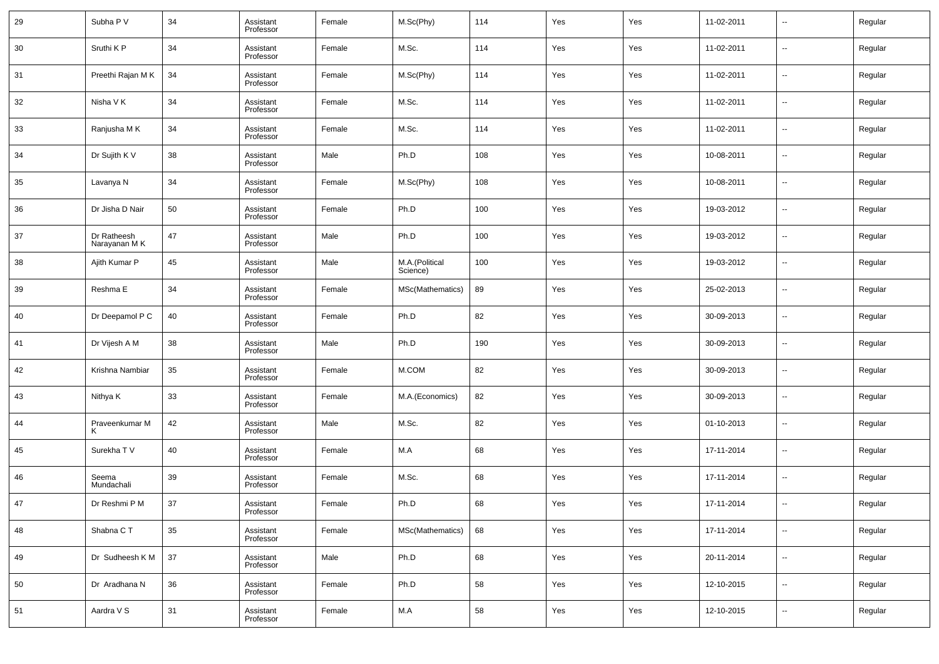| 29 | Subha P V                    | 34 | Assistant<br>Professor | Female | M.Sc(Phy)                  | 114 | Yes | Yes | 11-02-2011 | $\overline{\phantom{a}}$ | Regular |
|----|------------------------------|----|------------------------|--------|----------------------------|-----|-----|-----|------------|--------------------------|---------|
| 30 | Sruthi K P                   | 34 | Assistant<br>Professor | Female | M.Sc.                      | 114 | Yes | Yes | 11-02-2011 | $\overline{\phantom{a}}$ | Regular |
| 31 | Preethi Rajan MK             | 34 | Assistant<br>Professor | Female | M.Sc(Phy)                  | 114 | Yes | Yes | 11-02-2011 | $\overline{\phantom{a}}$ | Regular |
| 32 | Nisha V K                    | 34 | Assistant<br>Professor | Female | M.Sc.                      | 114 | Yes | Yes | 11-02-2011 | $\overline{\phantom{a}}$ | Regular |
| 33 | Ranjusha M K                 | 34 | Assistant<br>Professor | Female | M.Sc.                      | 114 | Yes | Yes | 11-02-2011 | $\overline{\phantom{a}}$ | Regular |
| 34 | Dr Sujith K V                | 38 | Assistant<br>Professor | Male   | Ph.D                       | 108 | Yes | Yes | 10-08-2011 | $\overline{\phantom{a}}$ | Regular |
| 35 | Lavanya N                    | 34 | Assistant<br>Professor | Female | M.Sc(Phy)                  | 108 | Yes | Yes | 10-08-2011 | $\overline{\phantom{a}}$ | Regular |
| 36 | Dr Jisha D Nair              | 50 | Assistant<br>Professor | Female | Ph.D                       | 100 | Yes | Yes | 19-03-2012 | $\overline{\phantom{a}}$ | Regular |
| 37 | Dr Ratheesh<br>Narayanan M K | 47 | Assistant<br>Professor | Male   | Ph.D                       | 100 | Yes | Yes | 19-03-2012 | $\overline{\phantom{a}}$ | Regular |
| 38 | Ajith Kumar P                | 45 | Assistant<br>Professor | Male   | M.A.(Political<br>Science) | 100 | Yes | Yes | 19-03-2012 | $\overline{\phantom{a}}$ | Regular |
| 39 | Reshma E                     | 34 | Assistant<br>Professor | Female | MSc(Mathematics)           | 89  | Yes | Yes | 25-02-2013 | $\overline{\phantom{a}}$ | Regular |
| 40 | Dr Deepamol P C              | 40 | Assistant<br>Professor | Female | Ph.D                       | 82  | Yes | Yes | 30-09-2013 | $\overline{\phantom{a}}$ | Regular |
| 41 | Dr Vijesh A M                | 38 | Assistant<br>Professor | Male   | Ph.D                       | 190 | Yes | Yes | 30-09-2013 | $\overline{\phantom{a}}$ | Regular |
| 42 | Krishna Nambiar              | 35 | Assistant<br>Professor | Female | M.COM                      | 82  | Yes | Yes | 30-09-2013 | $\overline{\phantom{a}}$ | Regular |
| 43 | Nithya K                     | 33 | Assistant<br>Professor | Female | M.A.(Economics)            | 82  | Yes | Yes | 30-09-2013 | $\overline{\phantom{a}}$ | Regular |
| 44 | Praveenkumar M               | 42 | Assistant<br>Professor | Male   | M.Sc.                      | 82  | Yes | Yes | 01-10-2013 | $\overline{\phantom{a}}$ | Regular |
| 45 | Surekha T V                  | 40 | Assistant<br>Professor | Female | M.A                        | 68  | Yes | Yes | 17-11-2014 | $\overline{\phantom{a}}$ | Regular |
| 46 | Seema<br>Mundachali          | 39 | Assistant<br>Professor | Female | M.Sc.                      | 68  | Yes | Yes | 17-11-2014 | $\overline{\phantom{a}}$ | Regular |
| 47 | Dr Reshmi P M                | 37 | Assistant<br>Professor | Female | Ph.D                       | 68  | Yes | Yes | 17-11-2014 | $\overline{\phantom{a}}$ | Regular |
| 48 | Shabna CT                    | 35 | Assistant<br>Professor | Female | MSc(Mathematics)           | 68  | Yes | Yes | 17-11-2014 | $\overline{\phantom{a}}$ | Regular |
| 49 | Dr Sudheesh K M              | 37 | Assistant<br>Professor | Male   | Ph.D                       | 68  | Yes | Yes | 20-11-2014 | $\overline{\phantom{a}}$ | Regular |
| 50 | Dr Aradhana N                | 36 | Assistant<br>Professor | Female | Ph.D                       | 58  | Yes | Yes | 12-10-2015 | $\overline{\phantom{a}}$ | Regular |
| 51 | Aardra V S                   | 31 | Assistant<br>Professor | Female | M.A                        | 58  | Yes | Yes | 12-10-2015 | $\overline{\phantom{a}}$ | Regular |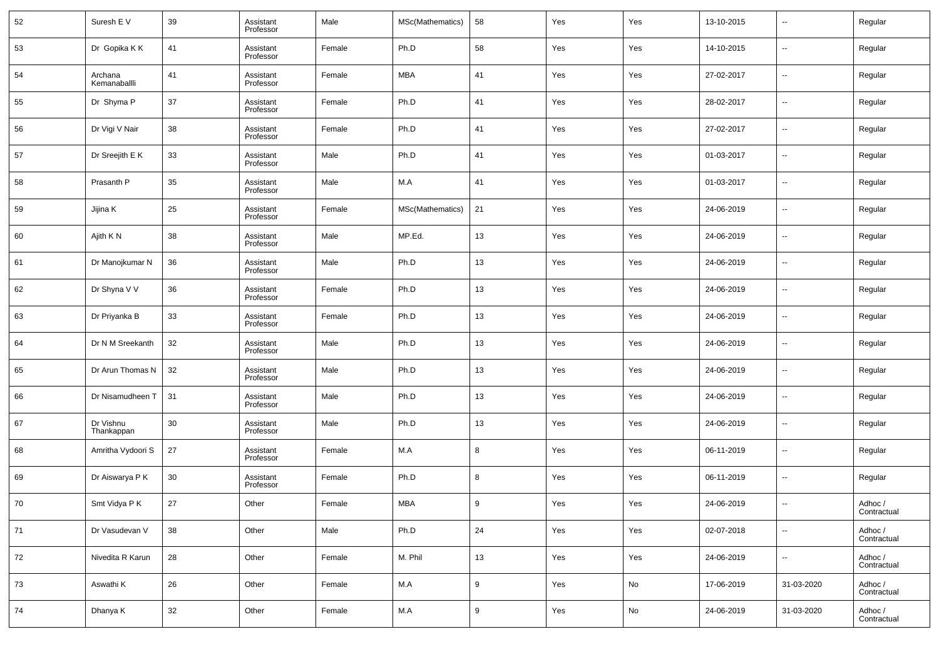| 52   | Suresh E V              | 39 | Assistant<br>Professor | Male   | MSc(Mathematics) | 58 | Yes | Yes | 13-10-2015 | $\overline{\phantom{a}}$ | Regular                |
|------|-------------------------|----|------------------------|--------|------------------|----|-----|-----|------------|--------------------------|------------------------|
| 53   | Dr Gopika K K           | 41 | Assistant<br>Professor | Female | Ph.D             | 58 | Yes | Yes | 14-10-2015 | $\overline{\phantom{a}}$ | Regular                |
| 54   | Archana<br>Kemanaballli | 41 | Assistant<br>Professor | Female | <b>MBA</b>       | 41 | Yes | Yes | 27-02-2017 | $\overline{\phantom{a}}$ | Regular                |
| 55   | Dr Shyma P              | 37 | Assistant<br>Professor | Female | Ph.D             | 41 | Yes | Yes | 28-02-2017 | $\overline{\phantom{a}}$ | Regular                |
| 56   | Dr Vigi V Nair          | 38 | Assistant<br>Professor | Female | Ph.D             | 41 | Yes | Yes | 27-02-2017 | $\overline{\phantom{a}}$ | Regular                |
| 57   | Dr Sreejith E K         | 33 | Assistant<br>Professor | Male   | Ph.D             | 41 | Yes | Yes | 01-03-2017 | $\overline{\phantom{a}}$ | Regular                |
| 58   | Prasanth P              | 35 | Assistant<br>Professor | Male   | M.A              | 41 | Yes | Yes | 01-03-2017 | $\overline{\phantom{a}}$ | Regular                |
| 59   | Jijina K                | 25 | Assistant<br>Professor | Female | MSc(Mathematics) | 21 | Yes | Yes | 24-06-2019 | $\overline{\phantom{a}}$ | Regular                |
| 60   | Ajith K N               | 38 | Assistant<br>Professor | Male   | MP.Ed.           | 13 | Yes | Yes | 24-06-2019 | $\overline{\phantom{a}}$ | Regular                |
| 61   | Dr Manojkumar N         | 36 | Assistant<br>Professor | Male   | Ph.D             | 13 | Yes | Yes | 24-06-2019 | $\overline{\phantom{a}}$ | Regular                |
| 62   | Dr Shyna V V            | 36 | Assistant<br>Professor | Female | Ph.D             | 13 | Yes | Yes | 24-06-2019 | $\overline{\phantom{a}}$ | Regular                |
| 63   | Dr Priyanka B           | 33 | Assistant<br>Professor | Female | Ph.D             | 13 | Yes | Yes | 24-06-2019 | $\overline{\phantom{a}}$ | Regular                |
| 64   | Dr N M Sreekanth        | 32 | Assistant<br>Professor | Male   | Ph.D             | 13 | Yes | Yes | 24-06-2019 | $\overline{\phantom{a}}$ | Regular                |
| 65   | Dr Arun Thomas N        | 32 | Assistant<br>Professor | Male   | Ph.D             | 13 | Yes | Yes | 24-06-2019 | $\overline{\phantom{a}}$ | Regular                |
| 66   | Dr Nisamudheen T        | 31 | Assistant<br>Professor | Male   | Ph.D             | 13 | Yes | Yes | 24-06-2019 | $\overline{\phantom{a}}$ | Regular                |
| 67   | Dr Vishnu<br>Thankappan | 30 | Assistant<br>Professor | Male   | Ph.D             | 13 | Yes | Yes | 24-06-2019 | $\overline{\phantom{a}}$ | Regular                |
| 68   | Amritha Vydoori S       | 27 | Assistant<br>Professor | Female | M.A              | 8  | Yes | Yes | 06-11-2019 | $\overline{\phantom{a}}$ | Regular                |
| 69   | Dr Aiswarya P K         | 30 | Assistant<br>Professor | Female | Ph.D             | 8  | Yes | Yes | 06-11-2019 | $\overline{\phantom{a}}$ | Regular                |
| 70   | Smt Vidya P K           | 27 | Other                  | Female | <b>MBA</b>       | 9  | Yes | Yes | 24-06-2019 | $\overline{\phantom{a}}$ | Adhoc /<br>Contractual |
| $71$ | Dr Vasudevan V          | 38 | Other                  | Male   | Ph.D             | 24 | Yes | Yes | 02-07-2018 | $\overline{\phantom{a}}$ | Adhoc /<br>Contractual |
| 72   | Nivedita R Karun        | 28 | Other                  | Female | M. Phil          | 13 | Yes | Yes | 24-06-2019 | $\overline{\phantom{a}}$ | Adhoc /<br>Contractual |
| 73   | Aswathi K               | 26 | Other                  | Female | M.A              | 9  | Yes | No  | 17-06-2019 | 31-03-2020               | Adhoc /<br>Contractual |
| 74   | Dhanya K                | 32 | Other                  | Female | M.A              | 9  | Yes | No  | 24-06-2019 | 31-03-2020               | Adhoc /<br>Contractual |